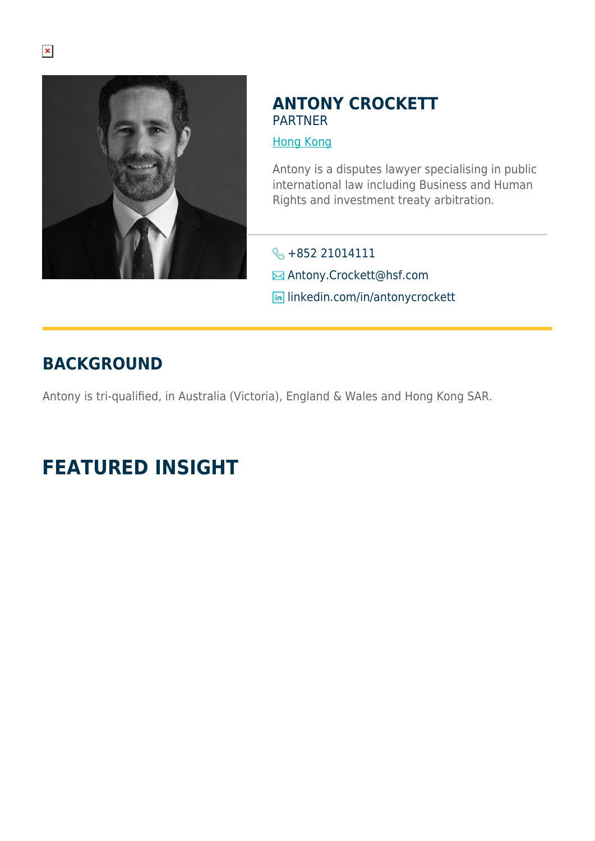

### **ANTONY CROCKETT** PARTNER

#### [Hong Kong](https://www.herbertsmithfreehills.com/lang-ja/where-we-work/hong-kong)

Antony is a disputes lawyer specialising in public international law including Business and Human Rights and investment treaty arbitration.

- +852 21014111
- Antony.Crockett@hsf.com
- **in** linkedin.com/in/antonycrockett

## **BACKGROUND**

Antony is tri-qualified, in Australia (Victoria), England & Wales and Hong Kong SAR.

# **FEATURED INSIGHT**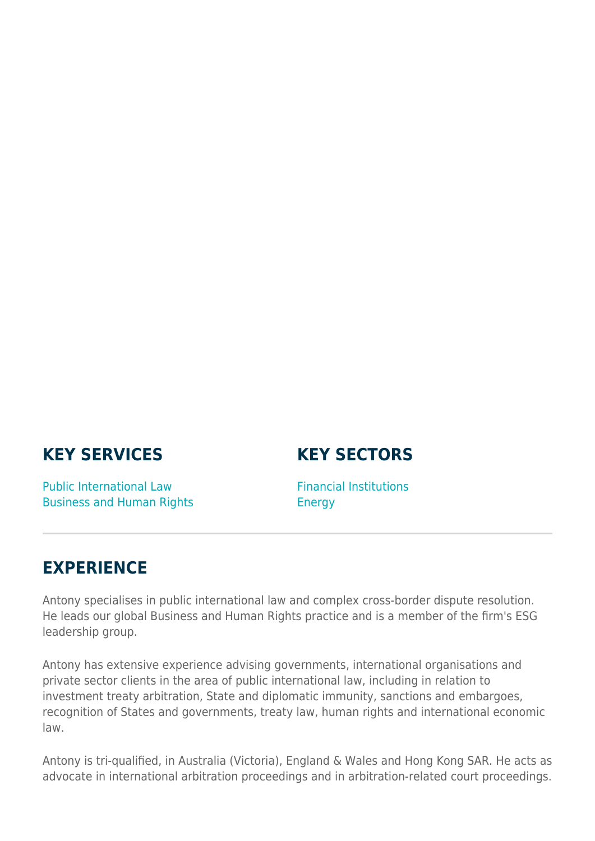## **KEY SERVICES**

### **KEY SECTORS**

Public International Law Business and Human Rights Financial Institutions **Energy** 

### **EXPERIENCE**

Antony specialises in public international law and complex cross-border dispute resolution. He leads our global Business and Human Rights practice and is a member of the firm's ESG leadership group.

Antony has extensive experience advising governments, international organisations and private sector clients in the area of public international law, including in relation to investment treaty arbitration, State and diplomatic immunity, sanctions and embargoes, recognition of States and governments, treaty law, human rights and international economic law.

Antony is tri-qualified, in Australia (Victoria), England & Wales and Hong Kong SAR. He acts as advocate in international arbitration proceedings and in arbitration-related court proceedings.